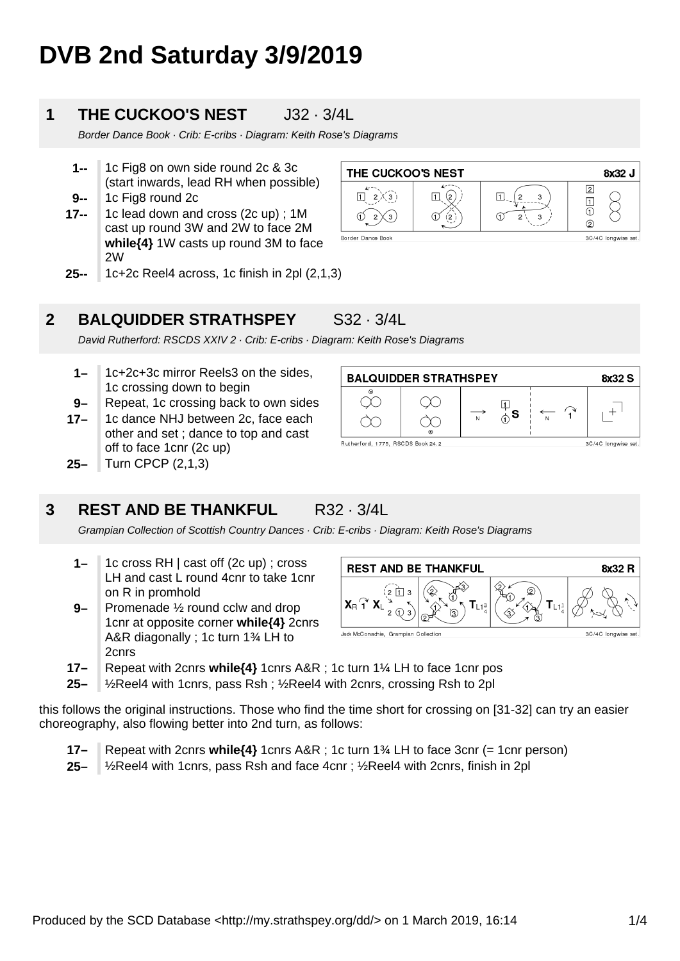# **DVB 2nd Saturday 3/9/2019**

### **1 THE CUCKOO'S NEST** J32 · 3/4L

Border Dance Book · Crib: E-cribs · Diagram: Keith Rose's Diagrams

- **9-- 1--** 1c Fig8 on own side round 2c & 3c (start inwards, lead RH when possible) 1c Fig8 round 2c
- **17--** 1c lead down and cross (2c up) ; 1M cast up round 3W and 2W to face 2M **while{4}** 1W casts up round 3M to face 2W





**BALQUIDDER STRATHSPEY** 

 $\infty$ 

 $\gamma$ 

Rutherford, 1775, RSCDS Book 24.2

### **2 BALQUIDDER STRATHSPEY** S32 · 3/4L

David Rutherford: RSCDS XXIV 2 · Crib: E-cribs · Diagram: Keith Rose's Diagrams

- **1–** 1c+2c+3c mirror Reels3 on the sides, 1c crossing down to begin
- **9–** Repeat, 1c crossing back to own sides
- **17–** 1c dance NHJ between 2c, face each other and set ; dance to top and cast off to face 1cnr (2c up)
- **25–** Turn CPCP (2,1,3)

### **3 REST AND BE THANKFUL** R32 · 3/4L

Grampian Collection of Scottish Country Dances · Crib: E-cribs · Diagram: Keith Rose's Diagrams

- **1–** 1c cross RH | cast off (2c up) ; cross LH and cast L round 4cnr to take 1cnr on R in promhold
- **9–** Promenade ½ round cclw and drop 1cnr at opposite corner **while{4}** 2cnrs A&R diagonally ; 1c turn 1¾ LH to 2cnrs



 $\frac{\Box}{\Diamond}$ s

 $\overline{N}$ 

- **17–** Repeat with 2cnrs **while{4}** 1cnrs A&R ; 1c turn 1¼ LH to face 1cnr pos
- **25–** ½Reel4 with 1cnrs, pass Rsh ; ½Reel4 with 2cnrs, crossing Rsh to 2pl

this follows the original instructions. Those who find the time short for crossing on [31-32] can try an easier choreography, also flowing better into 2nd turn, as follows:

- **17–** Repeat with 2cnrs **while{4}** 1cnrs A&R ; 1c turn 1¾ LH to face 3cnr (= 1cnr person)
- **25–** ½Reel4 with 1cnrs, pass Rsh and face 4cnr ; ½Reel4 with 2cnrs, finish in 2pl

8x32 S

 $\overline{+}$ 

3C/4C longwise set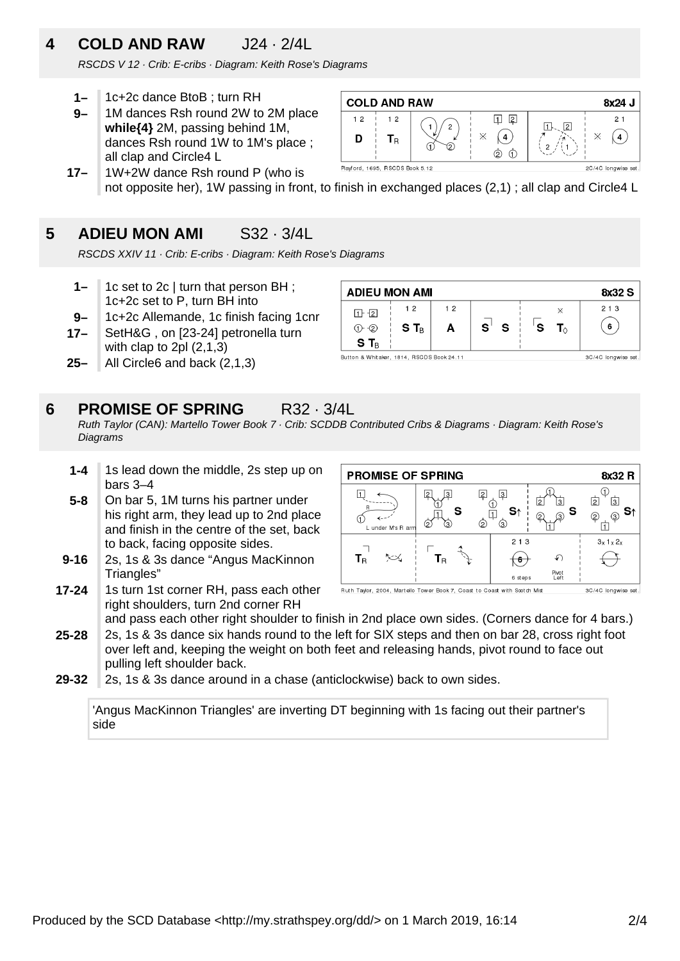## **4 COLD AND RAW** J24 · 2/4L

RSCDS V 12 · Crib: E-cribs · Diagram: Keith Rose's Diagrams

- **1–** 1c+2c dance BtoB ; turn RH
- **9–** 1M dances Rsh round 2W to 2M place **while{4}** 2M, passing behind 1M, dances Rsh round 1W to 1M's place ; all clap and Circle4 L



**17–** 1W+2W dance Rsh round P (who is not opposite her), 1W passing in front, to finish in exchanged places (2,1) ; all clap and Circle4 L

### **5 ADIEU MON AMI** S32 · 3/4L

RSCDS XXIV 11 · Crib: E-cribs · Diagram: Keith Rose's Diagrams

- **1–** 1c set to 2c | turn that person BH ; 1c+2c set to P, turn BH into
- **17– 9–** 1c+2c Allemande, 1c finish facing 1cnr SetH&G , on [23-24] petronella turn with clap to 2pl (2,1,3)
- **25–** All Circle6 and back (2,1,3)



#### **6 PROMISE OF SPRING** R32 · 3/4L

Ruth Taylor (CAN): Martello Tower Book 7 · Crib: SCDDB Contributed Cribs & Diagrams · Diagram: Keith Rose's **Diagrams** 

- **1-4** 1s lead down the middle, 2s step up on bars 3–4
- **5-8** On bar 5, 1M turns his partner under his right arm, they lead up to 2nd place and finish in the centre of the set, back to back, facing opposite sides.
- **9-16** 2s, 1s & 3s dance "Angus MacKinnon Triangles"
- **17-24** 1s turn 1st corner RH, pass each other right shoulders, turn 2nd corner RH

| <b>PROMISE OF SPRING</b> | 8x32 R         |          |               |                        |
|--------------------------|----------------|----------|---------------|------------------------|
|                          | 3<br><u>2</u>  | 3        | 3<br>12       | $\overline{2}$<br>3    |
| L under M's R arm        | 3<br>(2)<br>ົດ | S1<br>3) | -S<br>③<br>2  | ⊚<br>$\left( 2\right)$ |
|                          |                | 2 1 3    |               | $3x$ 1 $x$ 2 $x$       |
| $\mathbf{T}_\text{R}$    | l R            |          |               |                        |
|                          |                | 6 steps  | Pivot<br>Left |                        |

Ruth Taylor, 2004, Martello Tower Book 7, Coast to Coast with Scotch Mist 3C/4C longwise set.

- **25-28** and pass each other right shoulder to finish in 2nd place own sides. (Corners dance for 4 bars.) 2s, 1s & 3s dance six hands round to the left for SIX steps and then on bar 28, cross right foot over left and, keeping the weight on both feet and releasing hands, pivot round to face out pulling left shoulder back.
- **29-32** 2s, 1s & 3s dance around in a chase (anticlockwise) back to own sides.

'Angus MacKinnon Triangles' are inverting DT beginning with 1s facing out their partner's side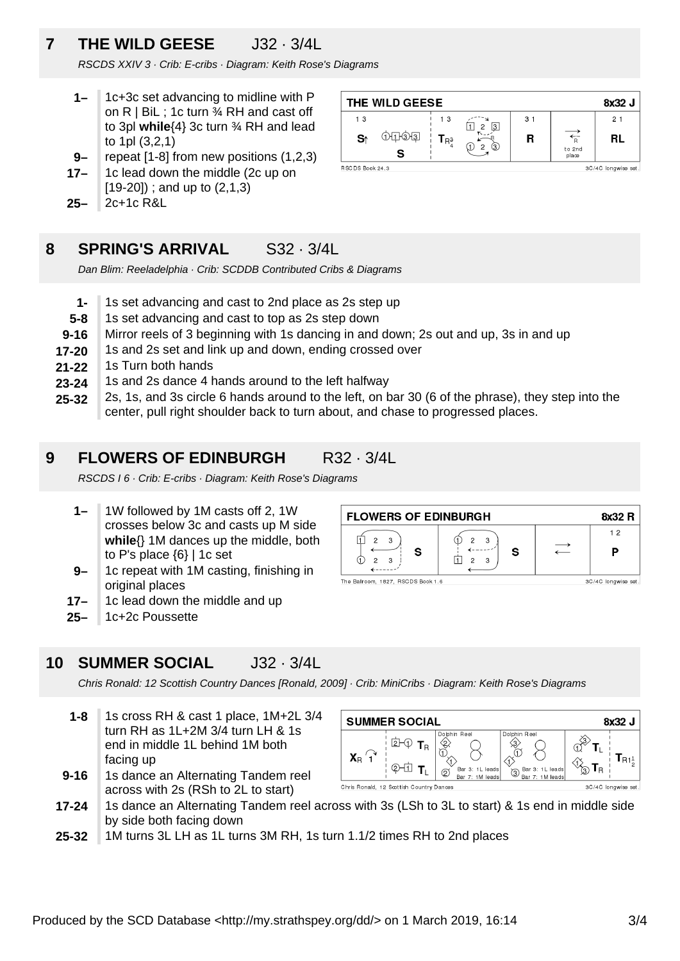### **7 THE WILD GEESE** J32 · 3/4L

RSCDS XXIV 3 · Crib: E-cribs · Diagram: Keith Rose's Diagrams

- **1–** 1c+3c set advancing to midline with P on  $R \mid B$ il ; 1c turn  $\frac{3}{4}$  RH and cast off to 3pl **while**{4} 3c turn ¾ RH and lead to 1pl (3,2,1)
- **9–** repeat [1-8] from new positions (1,2,3)
- **17–** 1c lead down the middle (2c up on [19-20]) ; and up to (2,1,3)
- **25–** 2c+1c R&L



### **8 SPRING'S ARRIVAL** S32 · 3/4L

Dan Blim: Reeladelphia · Crib: SCDDB Contributed Cribs & Diagrams

- **1-** 1s set advancing and cast to 2nd place as 2s step up
- **5-8** 1s set advancing and cast to top as 2s step down
- **9-16** Mirror reels of 3 beginning with 1s dancing in and down; 2s out and up, 3s in and up
- **17-20** 1s and 2s set and link up and down, ending crossed over
- **21-22** 1s Turn both hands
- **23-24** 1s and 2s dance 4 hands around to the left halfway
- **25-32** 2s, 1s, and 3s circle 6 hands around to the left, on bar 30 (6 of the phrase), they step into the center, pull right shoulder back to turn about, and chase to progressed places.

### **9 FLOWERS OF EDINBURGH R32 · 3/4L**

RSCDS I 6 · Crib: E-cribs · Diagram: Keith Rose's Diagrams

- **1–** 1W followed by 1M casts off 2, 1W crosses below 3c and casts up M side **while**{} 1M dances up the middle, both to P's place  $\{6\}$  | 1c set
- **9–** 1c repeat with 1M casting, finishing in original places
- **17–** 1c lead down the middle and up
- **25–** 1c+2c Poussette

### **10 SUMMER SOCIAL** J32 · 3/4L

Chris Ronald: 12 Scottish Country Dances [Ronald, 2009] · Crib: MiniCribs · Diagram: Keith Rose's Diagrams

**1-8** 1s cross RH & cast 1 place, 1M+2L 3/4 turn RH as 1L+2M 3/4 turn LH & 1s end in middle 1L behind 1M both facing up



- **9-16** 1s dance an Alternating Tandem reel across with 2s (RSh to 2L to start)
- **17-24** 1s dance an Alternating Tandem reel across with 3s (LSh to 3L to start) & 1s end in middle side by side both facing down
- **25-32** 1M turns 3L LH as 1L turns 3M RH, 1s turn 1.1/2 times RH to 2nd places



8x32 J

 $T_{R1\frac{1}{2}}$